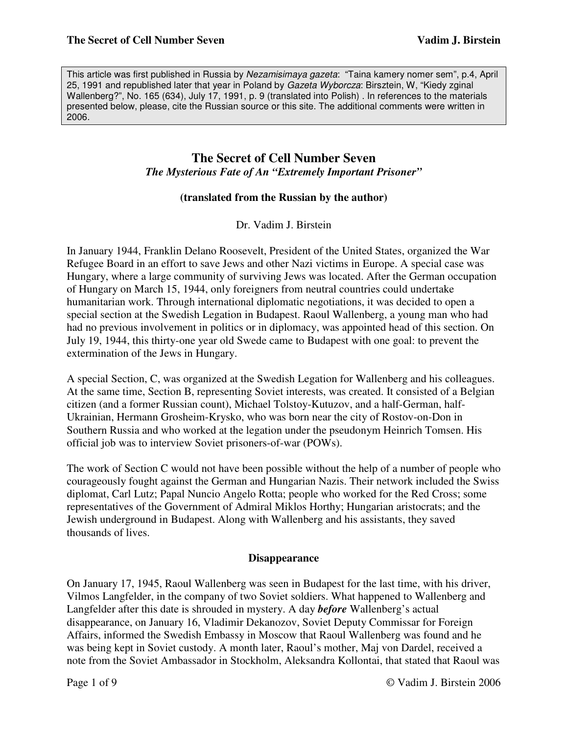This article was first published in Russia by Nezamisimaya gazeta: "Taina kamery nomer sem", p.4, April 25, 1991 and republished later that year in Poland by Gazeta Wyborcza: Birsztein, W, "Kiedy zginal Wallenberg?", No. 165 (634), July 17, 1991, p. 9 (translated into Polish) . In references to the materials presented below, please, cite the Russian source or this site. The additional comments were written in 2006.

# **The Secret of Cell Number Seven**  *The Mysterious Fate of An "Extremely Important Prisoner"*

### **(translated from the Russian by the author)**

Dr. Vadim J. Birstein

In January 1944, Franklin Delano Roosevelt, President of the United States, organized the War Refugee Board in an effort to save Jews and other Nazi victims in Europe. A special case was Hungary, where a large community of surviving Jews was located. After the German occupation of Hungary on March 15, 1944, only foreigners from neutral countries could undertake humanitarian work. Through international diplomatic negotiations, it was decided to open a special section at the Swedish Legation in Budapest. Raoul Wallenberg, a young man who had had no previous involvement in politics or in diplomacy, was appointed head of this section. On July 19, 1944, this thirty-one year old Swede came to Budapest with one goal: to prevent the extermination of the Jews in Hungary.

A special Section, C, was organized at the Swedish Legation for Wallenberg and his colleagues. At the same time, Section B, representing Soviet interests, was created. It consisted of a Belgian citizen (and a former Russian count), Michael Tolstoy-Kutuzov, and a half-German, half-Ukrainian, Hermann Grosheim-Krysko, who was born near the city of Rostov-on-Don in Southern Russia and who worked at the legation under the pseudonym Heinrich Tomsen. His official job was to interview Soviet prisoners-of-war (POWs).

The work of Section C would not have been possible without the help of a number of people who courageously fought against the German and Hungarian Nazis. Their network included the Swiss diplomat, Carl Lutz; Papal Nuncio Angelo Rotta; people who worked for the Red Cross; some representatives of the Government of Admiral Miklos Horthy; Hungarian aristocrats; and the Jewish underground in Budapest. Along with Wallenberg and his assistants, they saved thousands of lives.

#### **Disappearance**

On January 17, 1945, Raoul Wallenberg was seen in Budapest for the last time, with his driver, Vilmos Langfelder, in the company of two Soviet soldiers. What happened to Wallenberg and Langfelder after this date is shrouded in mystery. A day *before* Wallenberg's actual disappearance, on January 16, Vladimir Dekanozov, Soviet Deputy Commissar for Foreign Affairs, informed the Swedish Embassy in Moscow that Raoul Wallenberg was found and he was being kept in Soviet custody. A month later, Raoul's mother, Maj von Dardel, received a note from the Soviet Ambassador in Stockholm, Aleksandra Kollontai, that stated that Raoul was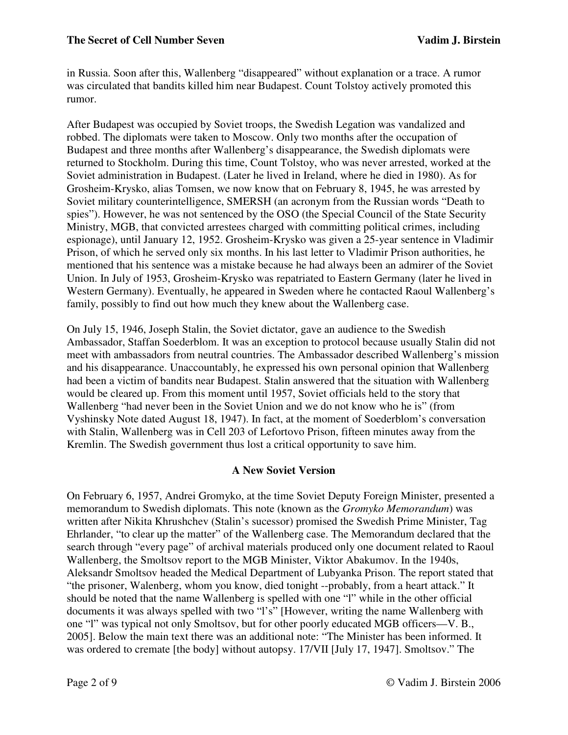in Russia. Soon after this, Wallenberg "disappeared" without explanation or a trace. A rumor was circulated that bandits killed him near Budapest. Count Tolstoy actively promoted this rumor.

After Budapest was occupied by Soviet troops, the Swedish Legation was vandalized and robbed. The diplomats were taken to Moscow. Only two months after the occupation of Budapest and three months after Wallenberg's disappearance, the Swedish diplomats were returned to Stockholm. During this time, Count Tolstoy, who was never arrested, worked at the Soviet administration in Budapest. (Later he lived in Ireland, where he died in 1980). As for Grosheim-Krysko, alias Tomsen, we now know that on February 8, 1945, he was arrested by Soviet military counterintelligence, SMERSH (an acronym from the Russian words "Death to spies"). However, he was not sentenced by the OSO (the Special Council of the State Security Ministry, MGB, that convicted arrestees charged with committing political crimes, including espionage), until January 12, 1952. Grosheim-Krysko was given a 25-year sentence in Vladimir Prison, of which he served only six months. In his last letter to Vladimir Prison authorities, he mentioned that his sentence was a mistake because he had always been an admirer of the Soviet Union. In July of 1953, Grosheim-Krysko was repatriated to Eastern Germany (later he lived in Western Germany). Eventually, he appeared in Sweden where he contacted Raoul Wallenberg's family, possibly to find out how much they knew about the Wallenberg case.

On July 15, 1946, Joseph Stalin, the Soviet dictator, gave an audience to the Swedish Ambassador, Staffan Soederblom. It was an exception to protocol because usually Stalin did not meet with ambassadors from neutral countries. The Ambassador described Wallenberg's mission and his disappearance. Unaccountably, he expressed his own personal opinion that Wallenberg had been a victim of bandits near Budapest. Stalin answered that the situation with Wallenberg would be cleared up. From this moment until 1957, Soviet officials held to the story that Wallenberg "had never been in the Soviet Union and we do not know who he is" (from Vyshinsky Note dated August 18, 1947). In fact, at the moment of Soederblom's conversation with Stalin, Wallenberg was in Cell 203 of Lefortovo Prison, fifteen minutes away from the Kremlin. The Swedish government thus lost a critical opportunity to save him.

# **A New Soviet Version**

On February 6, 1957, Andrei Gromyko, at the time Soviet Deputy Foreign Minister, presented a memorandum to Swedish diplomats. This note (known as the *Gromyko Memorandum*) was written after Nikita Khrushchev (Stalin's sucessor) promised the Swedish Prime Minister, Tag Ehrlander, "to clear up the matter" of the Wallenberg case. The Memorandum declared that the search through "every page" of archival materials produced only one document related to Raoul Wallenberg, the Smoltsov report to the MGB Minister, Viktor Abakumov. In the 1940s, Aleksandr Smoltsov headed the Medical Department of Lubyanka Prison. The report stated that "the prisoner, Walenberg, whom you know, died tonight --probably, from a heart attack." It should be noted that the name Wallenberg is spelled with one "l" while in the other official documents it was always spelled with two "l's" [However, writing the name Wallenberg with one "l" was typical not only Smoltsov, but for other poorly educated MGB officers—V. B., 2005]. Below the main text there was an additional note: "The Minister has been informed. It was ordered to cremate [the body] without autopsy. 17/VII [July 17, 1947]. Smoltsov." The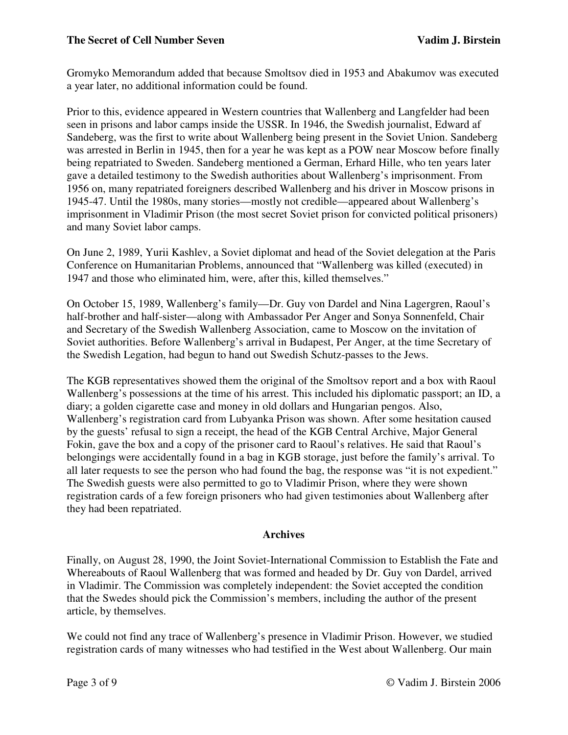Gromyko Memorandum added that because Smoltsov died in 1953 and Abakumov was executed a year later, no additional information could be found.

Prior to this, evidence appeared in Western countries that Wallenberg and Langfelder had been seen in prisons and labor camps inside the USSR. In 1946, the Swedish journalist, Edward af Sandeberg, was the first to write about Wallenberg being present in the Soviet Union. Sandeberg was arrested in Berlin in 1945, then for a year he was kept as a POW near Moscow before finally being repatriated to Sweden. Sandeberg mentioned a German, Erhard Hille, who ten years later gave a detailed testimony to the Swedish authorities about Wallenberg's imprisonment. From 1956 on, many repatriated foreigners described Wallenberg and his driver in Moscow prisons in 1945-47. Until the 1980s, many stories—mostly not credible—appeared about Wallenberg's imprisonment in Vladimir Prison (the most secret Soviet prison for convicted political prisoners) and many Soviet labor camps.

On June 2, 1989, Yurii Kashlev, a Soviet diplomat and head of the Soviet delegation at the Paris Conference on Humanitarian Problems, announced that "Wallenberg was killed (executed) in 1947 and those who eliminated him, were, after this, killed themselves."

On October 15, 1989, Wallenberg's family—Dr. Guy von Dardel and Nina Lagergren, Raoul's half-brother and half-sister—along with Ambassador Per Anger and Sonya Sonnenfeld, Chair and Secretary of the Swedish Wallenberg Association, came to Moscow on the invitation of Soviet authorities. Before Wallenberg's arrival in Budapest, Per Anger, at the time Secretary of the Swedish Legation, had begun to hand out Swedish Schutz-passes to the Jews.

The KGB representatives showed them the original of the Smoltsov report and a box with Raoul Wallenberg's possessions at the time of his arrest. This included his diplomatic passport; an ID, a diary; a golden cigarette case and money in old dollars and Hungarian pengos. Also, Wallenberg's registration card from Lubyanka Prison was shown. After some hesitation caused by the guests' refusal to sign a receipt, the head of the KGB Central Archive, Major General Fokin, gave the box and a copy of the prisoner card to Raoul's relatives. He said that Raoul's belongings were accidentally found in a bag in KGB storage, just before the family's arrival. To all later requests to see the person who had found the bag, the response was "it is not expedient." The Swedish guests were also permitted to go to Vladimir Prison, where they were shown registration cards of a few foreign prisoners who had given testimonies about Wallenberg after they had been repatriated.

# **Archives**

Finally, on August 28, 1990, the Joint Soviet-International Commission to Establish the Fate and Whereabouts of Raoul Wallenberg that was formed and headed by Dr. Guy von Dardel, arrived in Vladimir. The Commission was completely independent: the Soviet accepted the condition that the Swedes should pick the Commission's members, including the author of the present article, by themselves.

We could not find any trace of Wallenberg's presence in Vladimir Prison. However, we studied registration cards of many witnesses who had testified in the West about Wallenberg. Our main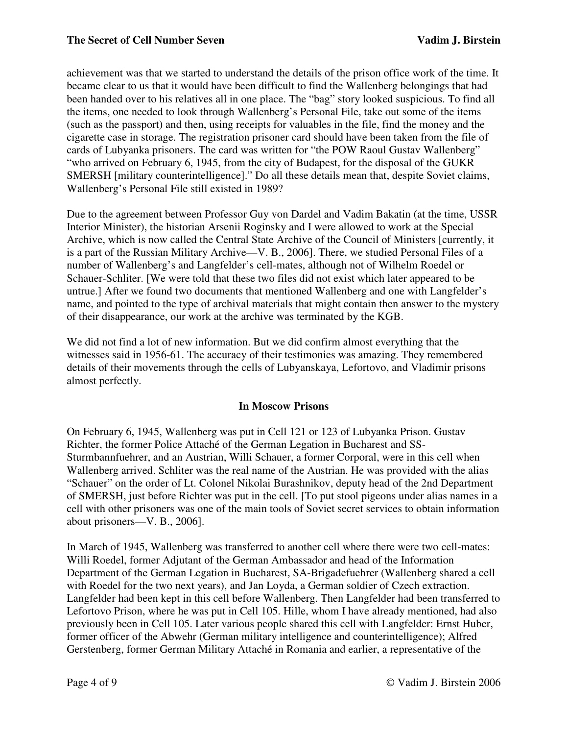achievement was that we started to understand the details of the prison office work of the time. It became clear to us that it would have been difficult to find the Wallenberg belongings that had been handed over to his relatives all in one place. The "bag" story looked suspicious. To find all the items, one needed to look through Wallenberg's Personal File, take out some of the items (such as the passport) and then, using receipts for valuables in the file, find the money and the cigarette case in storage. The registration prisoner card should have been taken from the file of cards of Lubyanka prisoners. The card was written for "the POW Raoul Gustav Wallenberg" "who arrived on February 6, 1945, from the city of Budapest, for the disposal of the GUKR SMERSH [military counterintelligence]." Do all these details mean that, despite Soviet claims, Wallenberg's Personal File still existed in 1989?

Due to the agreement between Professor Guy von Dardel and Vadim Bakatin (at the time, USSR Interior Minister), the historian Arsenii Roginsky and I were allowed to work at the Special Archive, which is now called the Central State Archive of the Council of Ministers [currently, it is a part of the Russian Military Archive—V. B., 2006]. There, we studied Personal Files of a number of Wallenberg's and Langfelder's cell-mates, although not of Wilhelm Roedel or Schauer-Schliter. [We were told that these two files did not exist which later appeared to be untrue.] After we found two documents that mentioned Wallenberg and one with Langfelder's name, and pointed to the type of archival materials that might contain then answer to the mystery of their disappearance, our work at the archive was terminated by the KGB.

We did not find a lot of new information. But we did confirm almost everything that the witnesses said in 1956-61. The accuracy of their testimonies was amazing. They remembered details of their movements through the cells of Lubyanskaya, Lefortovo, and Vladimir prisons almost perfectly.

# **In Moscow Prisons**

On February 6, 1945, Wallenberg was put in Cell 121 or 123 of Lubyanka Prison. Gustav Richter, the former Police Attaché of the German Legation in Bucharest and SS-Sturmbannfuehrer, and an Austrian, Willi Schauer, a former Corporal, were in this cell when Wallenberg arrived. Schliter was the real name of the Austrian. He was provided with the alias "Schauer" on the order of Lt. Colonel Nikolai Burashnikov, deputy head of the 2nd Department of SMERSH, just before Richter was put in the cell. [To put stool pigeons under alias names in a cell with other prisoners was one of the main tools of Soviet secret services to obtain information about prisoners—V. B., 2006].

In March of 1945, Wallenberg was transferred to another cell where there were two cell-mates: Willi Roedel, former Adjutant of the German Ambassador and head of the Information Department of the German Legation in Bucharest, SA-Brigadefuehrer (Wallenberg shared a cell with Roedel for the two next years), and Jan Loyda, a German soldier of Czech extraction. Langfelder had been kept in this cell before Wallenberg. Then Langfelder had been transferred to Lefortovo Prison, where he was put in Cell 105. Hille, whom I have already mentioned, had also previously been in Cell 105. Later various people shared this cell with Langfelder: Ernst Huber, former officer of the Abwehr (German military intelligence and counterintelligence); Alfred Gerstenberg, former German Military Attaché in Romania and earlier, a representative of the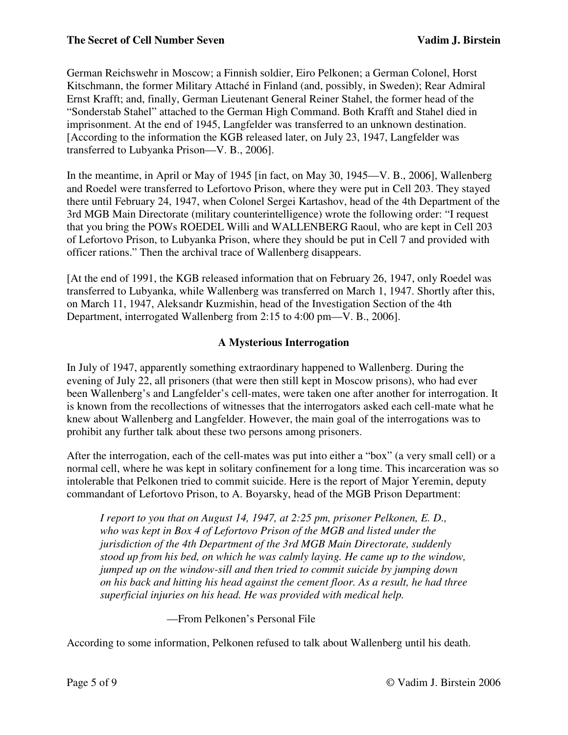German Reichswehr in Moscow; a Finnish soldier, Eiro Pelkonen; a German Colonel, Horst Kitschmann, the former Military Attaché in Finland (and, possibly, in Sweden); Rear Admiral Ernst Krafft; and, finally, German Lieutenant General Reiner Stahel, the former head of the "Sonderstab Stahel" attached to the German High Command. Both Krafft and Stahel died in imprisonment. At the end of 1945, Langfelder was transferred to an unknown destination. [According to the information the KGB released later, on July 23, 1947, Langfelder was transferred to Lubyanka Prison—V. B., 2006].

In the meantime, in April or May of 1945 [in fact, on May 30, 1945—V. B., 2006], Wallenberg and Roedel were transferred to Lefortovo Prison, where they were put in Cell 203. They stayed there until February 24, 1947, when Colonel Sergei Kartashov, head of the 4th Department of the 3rd MGB Main Directorate (military counterintelligence) wrote the following order: "I request that you bring the POWs ROEDEL Willi and WALLENBERG Raoul, who are kept in Cell 203 of Lefortovo Prison, to Lubyanka Prison, where they should be put in Cell 7 and provided with officer rations." Then the archival trace of Wallenberg disappears.

[At the end of 1991, the KGB released information that on February 26, 1947, only Roedel was transferred to Lubyanka, while Wallenberg was transferred on March 1, 1947. Shortly after this, on March 11, 1947, Aleksandr Kuzmishin, head of the Investigation Section of the 4th Department, interrogated Wallenberg from 2:15 to 4:00 pm—V. B., 2006].

# **A Mysterious Interrogation**

In July of 1947, apparently something extraordinary happened to Wallenberg. During the evening of July 22, all prisoners (that were then still kept in Moscow prisons), who had ever been Wallenberg's and Langfelder's cell-mates, were taken one after another for interrogation. It is known from the recollections of witnesses that the interrogators asked each cell-mate what he knew about Wallenberg and Langfelder. However, the main goal of the interrogations was to prohibit any further talk about these two persons among prisoners.

After the interrogation, each of the cell-mates was put into either a "box" (a very small cell) or a normal cell, where he was kept in solitary confinement for a long time. This incarceration was so intolerable that Pelkonen tried to commit suicide. Here is the report of Major Yeremin, deputy commandant of Lefortovo Prison, to A. Boyarsky, head of the MGB Prison Department:

*I report to you that on August 14, 1947, at 2:25 pm, prisoner Pelkonen, E. D., who was kept in Box 4 of Lefortovo Prison of the MGB and listed under the jurisdiction of the 4th Department of the 3rd MGB Main Directorate, suddenly stood up from his bed, on which he was calmly laying. He came up to the window, jumped up on the window-sill and then tried to commit suicide by jumping down on his back and hitting his head against the cement floor. As a result, he had three superficial injuries on his head. He was provided with medical help.* 

—From Pelkonen's Personal File

According to some information, Pelkonen refused to talk about Wallenberg until his death.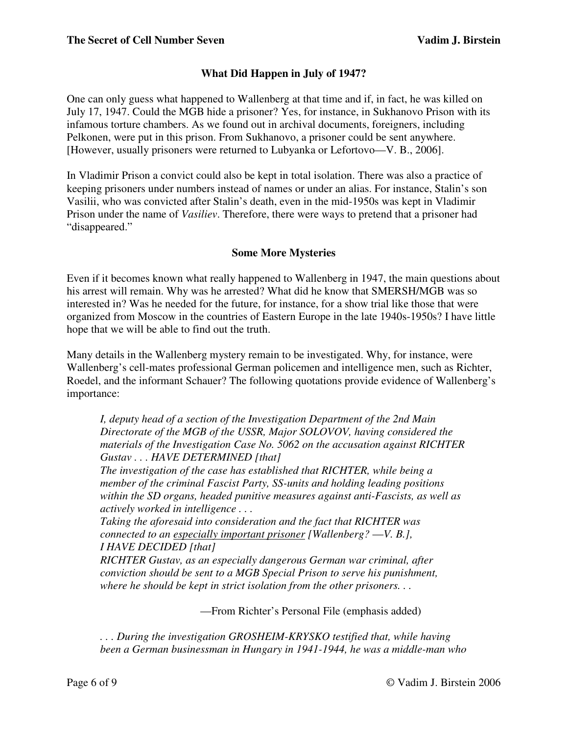# **What Did Happen in July of 1947?**

One can only guess what happened to Wallenberg at that time and if, in fact, he was killed on July 17, 1947. Could the MGB hide a prisoner? Yes, for instance, in Sukhanovo Prison with its infamous torture chambers. As we found out in archival documents, foreigners, including Pelkonen, were put in this prison. From Sukhanovo, a prisoner could be sent anywhere. [However, usually prisoners were returned to Lubyanka or Lefortovo—V. B., 2006].

In Vladimir Prison a convict could also be kept in total isolation. There was also a practice of keeping prisoners under numbers instead of names or under an alias. For instance, Stalin's son Vasilii, who was convicted after Stalin's death, even in the mid-1950s was kept in Vladimir Prison under the name of *Vasiliev*. Therefore, there were ways to pretend that a prisoner had "disappeared."

# **Some More Mysteries**

Even if it becomes known what really happened to Wallenberg in 1947, the main questions about his arrest will remain. Why was he arrested? What did he know that SMERSH/MGB was so interested in? Was he needed for the future, for instance, for a show trial like those that were organized from Moscow in the countries of Eastern Europe in the late 1940s-1950s? I have little hope that we will be able to find out the truth.

Many details in the Wallenberg mystery remain to be investigated. Why, for instance, were Wallenberg's cell-mates professional German policemen and intelligence men, such as Richter, Roedel, and the informant Schauer? The following quotations provide evidence of Wallenberg's importance:

*I, deputy head of a section of the Investigation Department of the 2nd Main Directorate of the MGB of the USSR, Major SOLOVOV, having considered the materials of the Investigation Case No. 5062 on the accusation against RICHTER Gustav . . . HAVE DETERMINED [that]* 

*The investigation of the case has established that RICHTER, while being a member of the criminal Fascist Party, SS-units and holding leading positions within the SD organs, headed punitive measures against anti-Fascists, as well as actively worked in intelligence . . .* 

*Taking the aforesaid into consideration and the fact that RICHTER was connected to an especially important prisoner [Wallenberg?* —*V. B.], I HAVE DECIDED [that]* 

*RICHTER Gustav, as an especially dangerous German war criminal, after conviction should be sent to a MGB Special Prison to serve his punishment, where he should be kept in strict isolation from the other prisoners. . .* 

—From Richter's Personal File (emphasis added)

*. . . During the investigation GROSHEIM-KRYSKO testified that, while having been a German businessman in Hungary in 1941-1944, he was a middle-man who*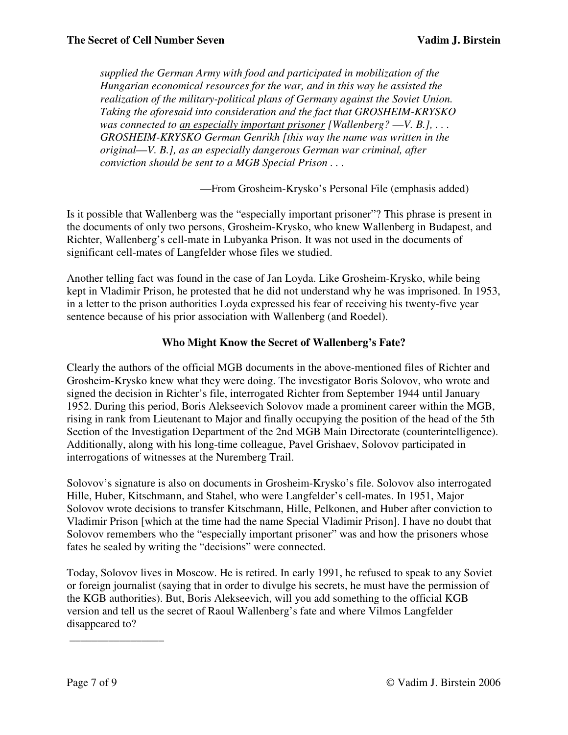*supplied the German Army with food and participated in mobilization of the Hungarian economical resources for the war, and in this way he assisted the realization of the military-political plans of Germany against the Soviet Union. Taking the aforesaid into consideration and the fact that GROSHEIM-KRYSKO was connected to an especially important prisoner [Wallenberg?* —*V. B.], . . . GROSHEIM-KRYSKO German Genrikh [this way the name was written in the original*—*V. B.], as an especially dangerous German war criminal, after conviction should be sent to a MGB Special Prison . . .* 

—From Grosheim-Krysko's Personal File (emphasis added)

Is it possible that Wallenberg was the "especially important prisoner"? This phrase is present in the documents of only two persons, Grosheim-Krysko, who knew Wallenberg in Budapest, and Richter, Wallenberg's cell-mate in Lubyanka Prison. It was not used in the documents of significant cell-mates of Langfelder whose files we studied.

Another telling fact was found in the case of Jan Loyda. Like Grosheim-Krysko, while being kept in Vladimir Prison, he protested that he did not understand why he was imprisoned. In 1953, in a letter to the prison authorities Loyda expressed his fear of receiving his twenty-five year sentence because of his prior association with Wallenberg (and Roedel).

### **Who Might Know the Secret of Wallenberg's Fate?**

Clearly the authors of the official MGB documents in the above-mentioned files of Richter and Grosheim-Krysko knew what they were doing. The investigator Boris Solovov, who wrote and signed the decision in Richter's file, interrogated Richter from September 1944 until January 1952. During this period, Boris Alekseevich Solovov made a prominent career within the MGB, rising in rank from Lieutenant to Major and finally occupying the position of the head of the 5th Section of the Investigation Department of the 2nd MGB Main Directorate (counterintelligence). Additionally, along with his long-time colleague, Pavel Grishaev, Solovov participated in interrogations of witnesses at the Nuremberg Trail.

Solovov's signature is also on documents in Grosheim-Krysko's file. Solovov also interrogated Hille, Huber, Kitschmann, and Stahel, who were Langfelder's cell-mates. In 1951, Major Solovov wrote decisions to transfer Kitschmann, Hille, Pelkonen, and Huber after conviction to Vladimir Prison [which at the time had the name Special Vladimir Prison]. I have no doubt that Solovov remembers who the "especially important prisoner" was and how the prisoners whose fates he sealed by writing the "decisions" were connected.

Today, Solovov lives in Moscow. He is retired. In early 1991, he refused to speak to any Soviet or foreign journalist (saying that in order to divulge his secrets, he must have the permission of the KGB authorities). But, Boris Alekseevich, will you add something to the official KGB version and tell us the secret of Raoul Wallenberg's fate and where Vilmos Langfelder disappeared to?

\_\_\_\_\_\_\_\_\_\_\_\_\_\_\_\_\_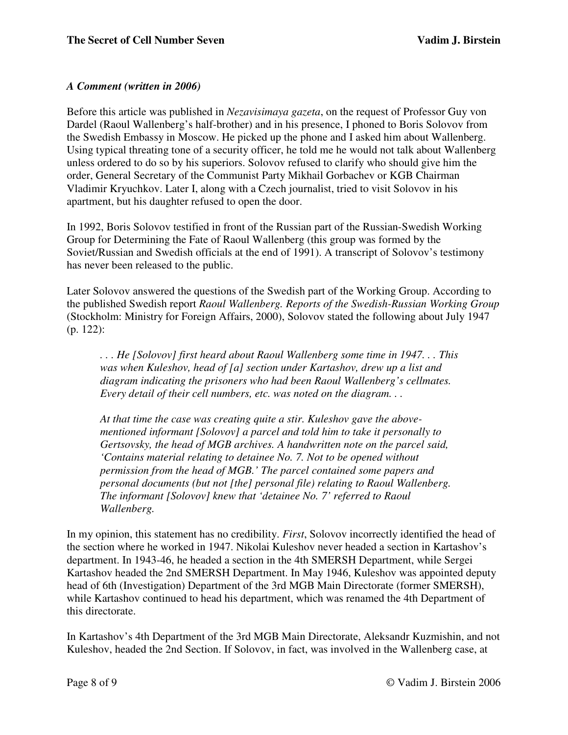# *A Comment (written in 2006)*

Before this article was published in *Nezavisimaya gazeta*, on the request of Professor Guy von Dardel (Raoul Wallenberg's half-brother) and in his presence, I phoned to Boris Solovov from the Swedish Embassy in Moscow. He picked up the phone and I asked him about Wallenberg. Using typical threating tone of a security officer, he told me he would not talk about Wallenberg unless ordered to do so by his superiors. Solovov refused to clarify who should give him the order, General Secretary of the Communist Party Mikhail Gorbachev or KGB Chairman Vladimir Kryuchkov. Later I, along with a Czech journalist, tried to visit Solovov in his apartment, but his daughter refused to open the door.

In 1992, Boris Solovov testified in front of the Russian part of the Russian-Swedish Working Group for Determining the Fate of Raoul Wallenberg (this group was formed by the Soviet/Russian and Swedish officials at the end of 1991). A transcript of Solovov's testimony has never been released to the public.

Later Solovov answered the questions of the Swedish part of the Working Group. According to the published Swedish report *Raoul Wallenberg. Reports of the Swedish-Russian Working Group* (Stockholm: Ministry for Foreign Affairs, 2000), Solovov stated the following about July 1947 (p. 122):

*. . . He [Solovov] first heard about Raoul Wallenberg some time in 1947. . . This was when Kuleshov, head of [a] section under Kartashov, drew up a list and diagram indicating the prisoners who had been Raoul Wallenberg's cellmates. Every detail of their cell numbers, etc. was noted on the diagram. . .* 

*At that time the case was creating quite a stir. Kuleshov gave the abovementioned informant [Solovov] a parcel and told him to take it personally to Gertsovsky, the head of MGB archives. A handwritten note on the parcel said, 'Contains material relating to detainee No. 7. Not to be opened without permission from the head of MGB.' The parcel contained some papers and personal documents (but not [the] personal file) relating to Raoul Wallenberg. The informant [Solovov] knew that 'detainee No. 7' referred to Raoul Wallenberg.* 

In my opinion, this statement has no credibility. *First*, Solovov incorrectly identified the head of the section where he worked in 1947. Nikolai Kuleshov never headed a section in Kartashov's department. In 1943-46, he headed a section in the 4th SMERSH Department, while Sergei Kartashov headed the 2nd SMERSH Department. In May 1946, Kuleshov was appointed deputy head of 6th (Investigation) Department of the 3rd MGB Main Directorate (former SMERSH), while Kartashov continued to head his department, which was renamed the 4th Department of this directorate.

In Kartashov's 4th Department of the 3rd MGB Main Directorate, Aleksandr Kuzmishin, and not Kuleshov, headed the 2nd Section. If Solovov, in fact, was involved in the Wallenberg case, at